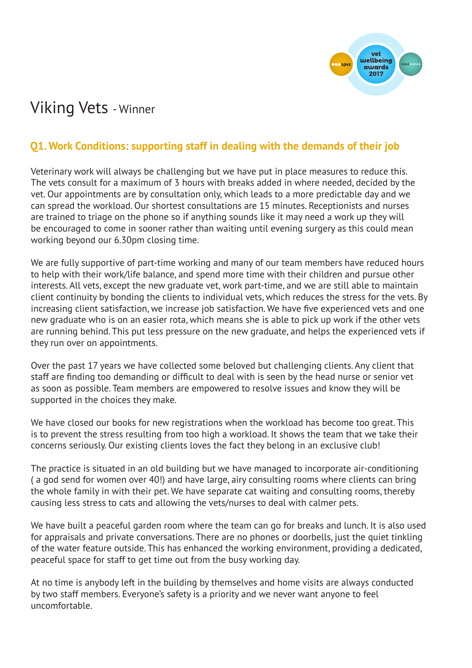

# Viking Vets - Winner

## **Q1. Work Conditions: supporting staff in dealing with the demands of their job**

Veterinary work will always be challenging but we have put in place measures to reduce this. The vets consult for a maximum of 3 hours with breaks added in where needed, decided by the vet. Our appointments are by consultation only, which leads to a more predictable day and we can spread the workload. Our shortest consultations are 15 minutes. Receptionists and nurses are trained to triage on the phone so if anything sounds like it may need a work up they will be encouraged to come in sooner rather than waiting until evening surgery as this could mean working beyond our 6.30pm closing time.

We are fully supportive of part-time working and many of our team members have reduced hours to help with their work/life balance, and spend more time with their children and pursue other interests. All vets, except the new graduate vet, work part-time, and we are still able to maintain client continuity by bonding the clients to individual vets, which reduces the stress for the vets. By increasing client satisfaction, we increase job satisfaction. We have five experienced vets and one new graduate who is on an easier rota, which means she is able to pick up work if the other vets are running behind. This put less pressure on the new graduate, and helps the experienced vets if they run over on appointments.

Over the past 17 years we have collected some beloved but challenging clients. Any client that staff are finding too demanding or difficult to deal with is seen by the head nurse or senior vet as soon as possible. Team members are empowered to resolve issues and know they will be supported in the choices they make.

We have closed our books for new registrations when the workload has become too great. This is to prevent the stress resulting from too high a workload. It shows the team that we take their concerns seriously. Our existing clients loves the fact they belong in an exclusive club!

The practice is situated in an old building but we have managed to incorporate air-conditioning ( a god send for women over 40!) and have large, airy consulting rooms where clients can bring the whole family in with their pet. We have separate cat waiting and consulting rooms, thereby causing less stress to cats and allowing the vets/nurses to deal with calmer pets.

We have built a peaceful garden room where the team can go for breaks and lunch. It is also used for appraisals and private conversations. There are no phones or doorbells, just the quiet tinkling of the water feature outside. This has enhanced the working environment, providing a dedicated, peaceful space for staff to get time out from the busy working day.

At no time is anybody left in the building by themselves and home visits are always conducted by two staff members. Everyone's safety is a priority and we never want anyone to feel uncomfortable.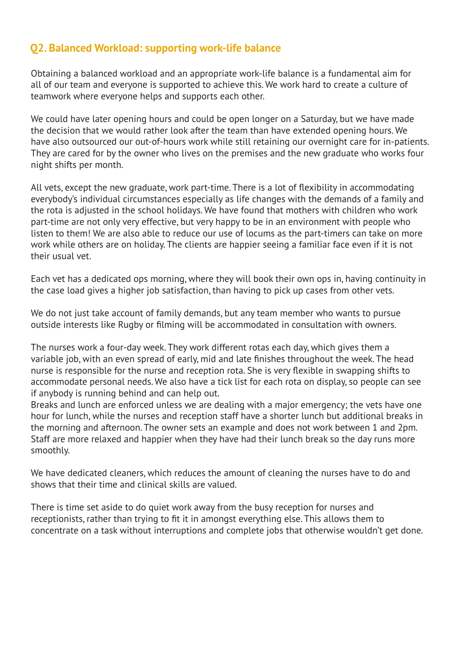### **Q2. Balanced Workload: supporting work-life balance**

Obtaining a balanced workload and an appropriate work-life balance is a fundamental aim for all of our team and everyone is supported to achieve this. We work hard to create a culture of teamwork where everyone helps and supports each other.

We could have later opening hours and could be open longer on a Saturday, but we have made the decision that we would rather look after the team than have extended opening hours. We have also outsourced our out-of-hours work while still retaining our overnight care for in-patients. They are cared for by the owner who lives on the premises and the new graduate who works four night shifts per month.

All vets, except the new graduate, work part-time. There is a lot of flexibility in accommodating everybody's individual circumstances especially as life changes with the demands of a family and the rota is adjusted in the school holidays. We have found that mothers with children who work part-time are not only very effective, but very happy to be in an environment with people who listen to them! We are also able to reduce our use of locums as the part-timers can take on more work while others are on holiday. The clients are happier seeing a familiar face even if it is not their usual vet.

Each vet has a dedicated ops morning, where they will book their own ops in, having continuity in the case load gives a higher job satisfaction, than having to pick up cases from other vets.

We do not just take account of family demands, but any team member who wants to pursue outside interests like Rugby or filming will be accommodated in consultation with owners.

The nurses work a four-day week. They work different rotas each day, which gives them a variable job, with an even spread of early, mid and late finishes throughout the week. The head nurse is responsible for the nurse and reception rota. She is very flexible in swapping shifts to accommodate personal needs. We also have a tick list for each rota on display, so people can see if anybody is running behind and can help out.

Breaks and lunch are enforced unless we are dealing with a major emergency; the vets have one hour for lunch, while the nurses and reception staff have a shorter lunch but additional breaks in the morning and afternoon. The owner sets an example and does not work between 1 and 2pm. Staff are more relaxed and happier when they have had their lunch break so the day runs more smoothly.

We have dedicated cleaners, which reduces the amount of cleaning the nurses have to do and shows that their time and clinical skills are valued.

There is time set aside to do quiet work away from the busy reception for nurses and receptionists, rather than trying to fit it in amongst everything else. This allows them to concentrate on a task without interruptions and complete jobs that otherwise wouldn't get done.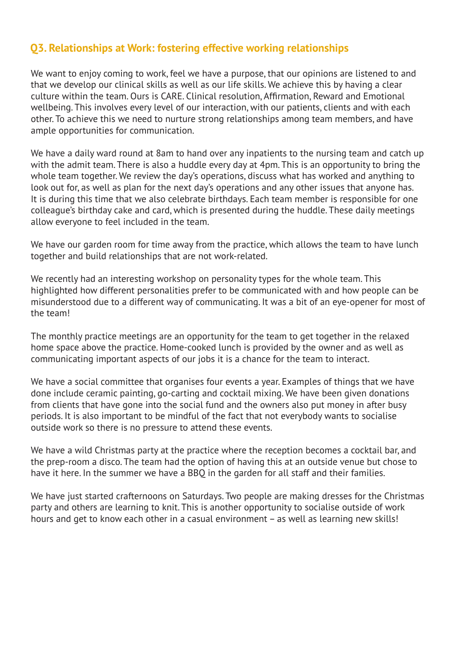### **Q3. Relationships at Work: fostering effective working relationships**

We want to enjoy coming to work, feel we have a purpose, that our opinions are listened to and that we develop our clinical skills as well as our life skills. We achieve this by having a clear culture within the team. Ours is CARE. Clinical resolution, Affirmation, Reward and Emotional wellbeing. This involves every level of our interaction, with our patients, clients and with each other. To achieve this we need to nurture strong relationships among team members, and have ample opportunities for communication.

We have a daily ward round at 8am to hand over any inpatients to the nursing team and catch up with the admit team. There is also a huddle every day at 4pm. This is an opportunity to bring the whole team together. We review the day's operations, discuss what has worked and anything to look out for, as well as plan for the next day's operations and any other issues that anyone has. It is during this time that we also celebrate birthdays. Each team member is responsible for one colleague's birthday cake and card, which is presented during the huddle. These daily meetings allow everyone to feel included in the team.

We have our garden room for time away from the practice, which allows the team to have lunch together and build relationships that are not work-related.

We recently had an interesting workshop on personality types for the whole team. This highlighted how different personalities prefer to be communicated with and how people can be misunderstood due to a different way of communicating. It was a bit of an eye-opener for most of the team!

The monthly practice meetings are an opportunity for the team to get together in the relaxed home space above the practice. Home-cooked lunch is provided by the owner and as well as communicating important aspects of our jobs it is a chance for the team to interact.

We have a social committee that organises four events a year. Examples of things that we have done include ceramic painting, go-carting and cocktail mixing. We have been given donations from clients that have gone into the social fund and the owners also put money in after busy periods. It is also important to be mindful of the fact that not everybody wants to socialise outside work so there is no pressure to attend these events.

We have a wild Christmas party at the practice where the reception becomes a cocktail bar, and the prep-room a disco. The team had the option of having this at an outside venue but chose to have it here. In the summer we have a BBQ in the garden for all staff and their families.

We have just started crafternoons on Saturdays. Two people are making dresses for the Christmas party and others are learning to knit. This is another opportunity to socialise outside of work hours and get to know each other in a casual environment – as well as learning new skills!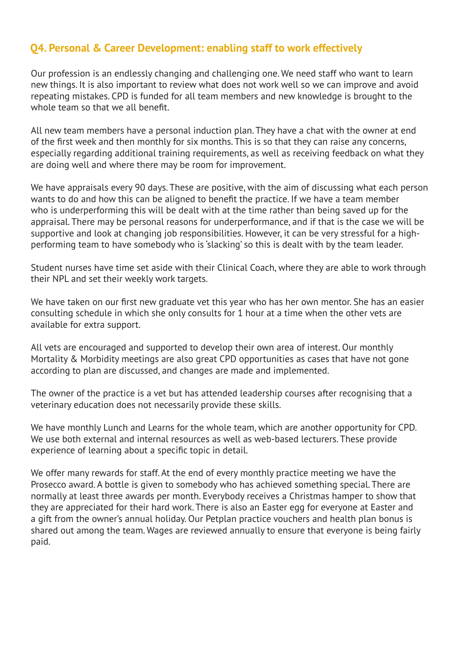## **Q4. Personal & Career Development: enabling staff to work effectively**

Our profession is an endlessly changing and challenging one. We need staff who want to learn new things. It is also important to review what does not work well so we can improve and avoid repeating mistakes. CPD is funded for all team members and new knowledge is brought to the whole team so that we all benefit.

All new team members have a personal induction plan. They have a chat with the owner at end of the first week and then monthly for six months. This is so that they can raise any concerns, especially regarding additional training requirements, as well as receiving feedback on what they are doing well and where there may be room for improvement.

We have appraisals every 90 days. These are positive, with the aim of discussing what each person wants to do and how this can be aligned to benefit the practice. If we have a team member who is underperforming this will be dealt with at the time rather than being saved up for the appraisal. There may be personal reasons for underperformance, and if that is the case we will be supportive and look at changing job responsibilities. However, it can be very stressful for a highperforming team to have somebody who is 'slacking' so this is dealt with by the team leader.

Student nurses have time set aside with their Clinical Coach, where they are able to work through their NPL and set their weekly work targets.

We have taken on our first new graduate vet this year who has her own mentor. She has an easier consulting schedule in which she only consults for 1 hour at a time when the other vets are available for extra support.

All vets are encouraged and supported to develop their own area of interest. Our monthly Mortality & Morbidity meetings are also great CPD opportunities as cases that have not gone according to plan are discussed, and changes are made and implemented.

The owner of the practice is a vet but has attended leadership courses after recognising that a veterinary education does not necessarily provide these skills.

We have monthly Lunch and Learns for the whole team, which are another opportunity for CPD. We use both external and internal resources as well as web-based lecturers. These provide experience of learning about a specific topic in detail.

We offer many rewards for staff. At the end of every monthly practice meeting we have the Prosecco award. A bottle is given to somebody who has achieved something special. There are normally at least three awards per month. Everybody receives a Christmas hamper to show that they are appreciated for their hard work. There is also an Easter egg for everyone at Easter and a gift from the owner's annual holiday. Our Petplan practice vouchers and health plan bonus is shared out among the team. Wages are reviewed annually to ensure that everyone is being fairly paid.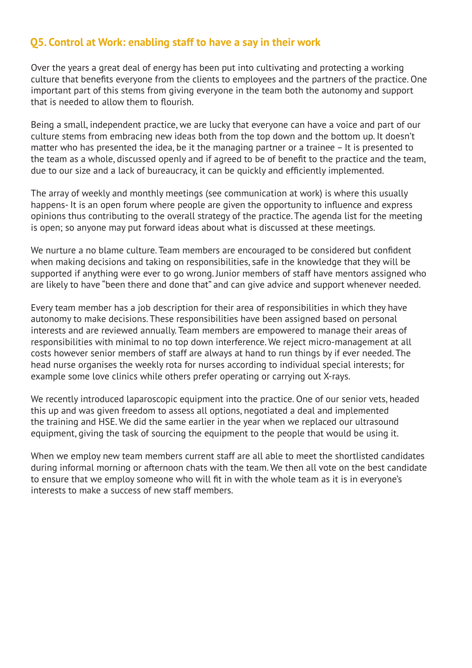#### **Q5. Control at Work: enabling staff to have a say in their work**

Over the years a great deal of energy has been put into cultivating and protecting a working culture that benefits everyone from the clients to employees and the partners of the practice. One important part of this stems from giving everyone in the team both the autonomy and support that is needed to allow them to flourish.

Being a small, independent practice, we are lucky that everyone can have a voice and part of our culture stems from embracing new ideas both from the top down and the bottom up. It doesn't matter who has presented the idea, be it the managing partner or a trainee – It is presented to the team as a whole, discussed openly and if agreed to be of benefit to the practice and the team, due to our size and a lack of bureaucracy, it can be quickly and efficiently implemented.

The array of weekly and monthly meetings (see communication at work) is where this usually happens- It is an open forum where people are given the opportunity to influence and express opinions thus contributing to the overall strategy of the practice. The agenda list for the meeting is open; so anyone may put forward ideas about what is discussed at these meetings.

We nurture a no blame culture. Team members are encouraged to be considered but confident when making decisions and taking on responsibilities, safe in the knowledge that they will be supported if anything were ever to go wrong. Junior members of staff have mentors assigned who are likely to have "been there and done that" and can give advice and support whenever needed.

Every team member has a job description for their area of responsibilities in which they have autonomy to make decisions. These responsibilities have been assigned based on personal interests and are reviewed annually. Team members are empowered to manage their areas of responsibilities with minimal to no top down interference. We reject micro-management at all costs however senior members of staff are always at hand to run things by if ever needed. The head nurse organises the weekly rota for nurses according to individual special interests; for example some love clinics while others prefer operating or carrying out X-rays.

We recently introduced laparoscopic equipment into the practice. One of our senior vets, headed this up and was given freedom to assess all options, negotiated a deal and implemented the training and HSE. We did the same earlier in the year when we replaced our ultrasound equipment, giving the task of sourcing the equipment to the people that would be using it.

When we employ new team members current staff are all able to meet the shortlisted candidates during informal morning or afternoon chats with the team. We then all vote on the best candidate to ensure that we employ someone who will fit in with the whole team as it is in everyone's interests to make a success of new staff members.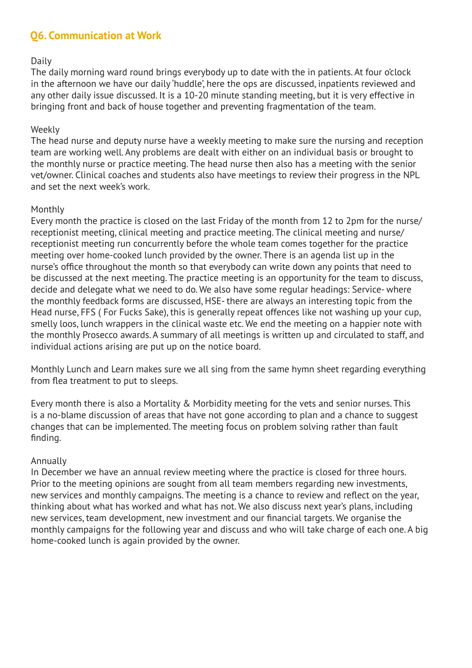## **Q6. Communication at Work**

#### Daily

The daily morning ward round brings everybody up to date with the in patients. At four o'clock in the afternoon we have our daily 'huddle', here the ops are discussed, inpatients reviewed and any other daily issue discussed. It is a 10-20 minute standing meeting, but it is very effective in bringing front and back of house together and preventing fragmentation of the team.

#### Weekly

The head nurse and deputy nurse have a weekly meeting to make sure the nursing and reception team are working well. Any problems are dealt with either on an individual basis or brought to the monthly nurse or practice meeting. The head nurse then also has a meeting with the senior vet/owner. Clinical coaches and students also have meetings to review their progress in the NPL and set the next week's work.

#### Monthly

Every month the practice is closed on the last Friday of the month from 12 to 2pm for the nurse/ receptionist meeting, clinical meeting and practice meeting. The clinical meeting and nurse/ receptionist meeting run concurrently before the whole team comes together for the practice meeting over home-cooked lunch provided by the owner. There is an agenda list up in the nurse's office throughout the month so that everybody can write down any points that need to be discussed at the next meeting. The practice meeting is an opportunity for the team to discuss, decide and delegate what we need to do. We also have some regular headings: Service- where the monthly feedback forms are discussed, HSE- there are always an interesting topic from the Head nurse, FFS ( For Fucks Sake), this is generally repeat offences like not washing up your cup, smelly loos, lunch wrappers in the clinical waste etc. We end the meeting on a happier note with the monthly Prosecco awards. A summary of all meetings is written up and circulated to staff, and individual actions arising are put up on the notice board.

Monthly Lunch and Learn makes sure we all sing from the same hymn sheet regarding everything from flea treatment to put to sleeps.

Every month there is also a Mortality & Morbidity meeting for the vets and senior nurses. This is a no-blame discussion of areas that have not gone according to plan and a chance to suggest changes that can be implemented. The meeting focus on problem solving rather than fault finding.

#### Annually

In December we have an annual review meeting where the practice is closed for three hours. Prior to the meeting opinions are sought from all team members regarding new investments, new services and monthly campaigns. The meeting is a chance to review and reflect on the year, thinking about what has worked and what has not. We also discuss next year's plans, including new services, team development, new investment and our financial targets. We organise the monthly campaigns for the following year and discuss and who will take charge of each one. A big home-cooked lunch is again provided by the owner.